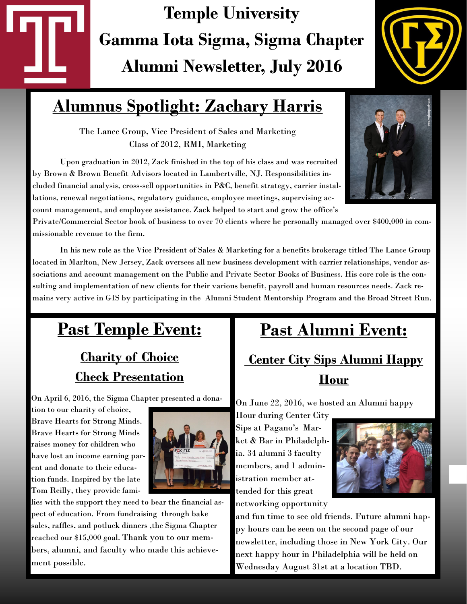# **Temple University Gamma Iota Sigma, Sigma Chapter Alumni Newsletter, July 2016**



### **Alumnus Spotlight: Zachary Harris**

The Lance Group, Vice President of Sales and Marketing Class of 2012, RMI, Marketing

Upon graduation in 2012, Zack finished in the top of his class and was recruited by Brown & Brown Benefit Advisors located in Lambertville, NJ. Responsibilities included financial analysis, cross-sell opportunities in P&C, benefit strategy, carrier installations, renewal negotiations, regulatory guidance, employee meetings, supervising account management, and employee assistance. Zack helped to start and grow the office's

Private/Commercial Sector book of business to over 70 clients where he personally managed over \$400,000 in commissionable revenue to the firm.

In his new role as the Vice President of Sales & Marketing for a benefits brokerage titled The Lance Group located in Marlton, New Jersey, Zack oversees all new business development with carrier relationships, vendor associations and account management on the Public and Private Sector Books of Business. His core role is the consulting and implementation of new clients for their various benefit, payroll and human resources needs. Zack remains very active in GIS by participating in the Alumni Student Mentorship Program and the Broad Street Run.

## **Past Temple Event:** *<sup>=</sup>*

#### **Charity of Choice Check Presentation**

On April 6, 2016, the Sigma Chapter presented a dona-

tion to our charity of choice, Brave Hearts for Strong Minds. Brave Hearts for Strong Minds raises money for children who have lost an income earning parent and donate to their education funds. Inspired by the late Tom Reilly, they provide fami-



lies with the support they need to bear the financial aspect of education. From fundraising through bake sales, raffles, and potluck dinners ,the Sigma Chapter reached our \$15,000 goal. Thank you to our members, alumni, and faculty who made this achievement possible.

### **Past Alumni Event:**

#### **Center City Sips Alumni Happy Hour**

On June 22, 2016, we hosted an Alumni happy

Hour during Center City Sips at Pagano's Market & Bar in Philadelphia. 34 alumni 3 faculty members, and 1 administration member attended for this great networking opportunity



and fun time to see old friends. Future alumni happy hours can be seen on the second page of our newsletter, including those in New York City. Our next happy hour in Philadelphia will be held on Wednesday August 31st at a location TBD.